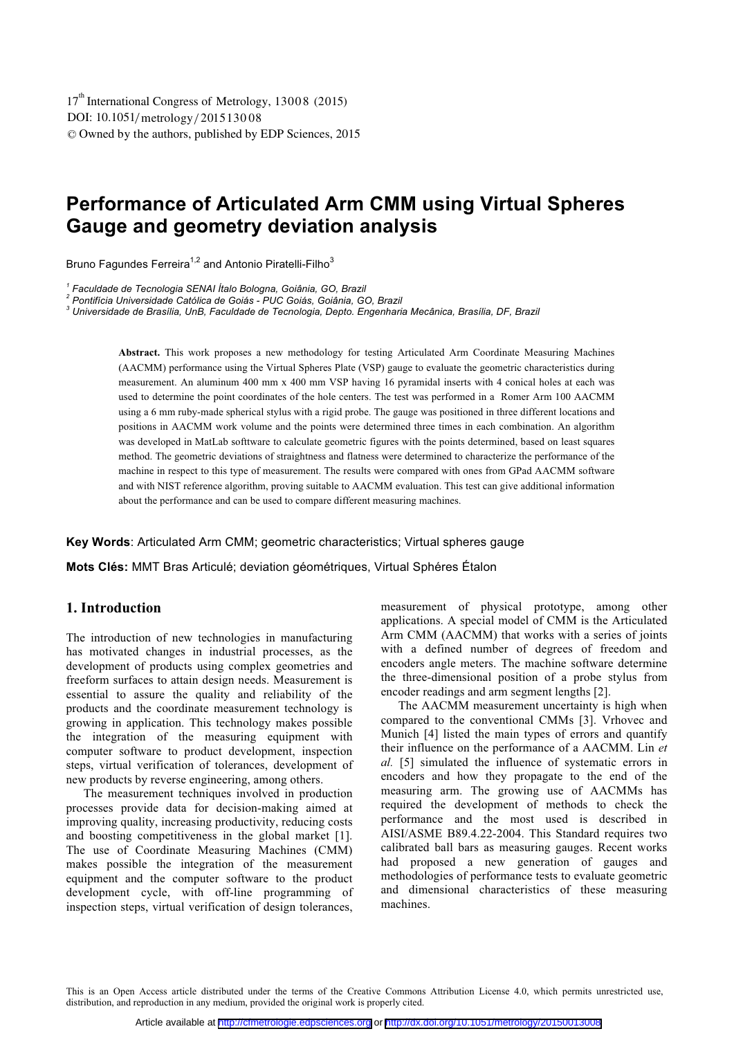# **Performance of Articulated Arm CMM using Virtual Spheres Gauge and geometry deviation analysis**

Bruno Fagundes Ferreira<sup>1,2</sup> and Antonio Piratelli-Filho<sup>3</sup>

<sup>1</sup> Faculdade de Tecnologia SENAI Ítalo Bologna, Goiânia, GO, Brazil<br><sup>2</sup> Pentifícia Universidade Catálica de Caiáe - PUC Caiáe - Caiânia, Cí

 *Pontifícia Universidade Católica de Goiás - PUC Goiás, Goiânia, GO, Brazil* 

*3 Universidade de Brasília, UnB, Faculdade de Tecnologia, Depto. Engenharia Mecânica, Brasília, DF, Brazil* 

**Abstract.** This work proposes a new methodology for testing Articulated Arm Coordinate Measuring Machines (AACMM) performance using the Virtual Spheres Plate (VSP) gauge to evaluate the geometric characteristics during measurement. An aluminum 400 mm x 400 mm VSP having 16 pyramidal inserts with 4 conical holes at each was used to determine the point coordinates of the hole centers. The test was performed in a Romer Arm 100 AACMM using a 6 mm ruby-made spherical stylus with a rigid probe. The gauge was positioned in three different locations and positions in AACMM work volume and the points were determined three times in each combination. An algorithm was developed in MatLab softtware to calculate geometric figures with the points determined, based on least squares method. The geometric deviations of straightness and flatness were determined to characterize the performance of the machine in respect to this type of measurement. The results were compared with ones from GPad AACMM software and with NIST reference algorithm, proving suitable to AACMM evaluation. This test can give additional information about the performance and can be used to compare different measuring machines.

**Key Words**: Articulated Arm CMM; geometric characteristics; Virtual spheres gauge

**Mots Clés:** MMT Bras Articulé; deviation géométriques, Virtual Sphéres Étalon

## **1. Introduction**

The introduction of new technologies in manufacturing has motivated changes in industrial processes, as the development of products using complex geometries and freeform surfaces to attain design needs. Measurement is essential to assure the quality and reliability of the products and the coordinate measurement technology is growing in application. This technology makes possible the integration of the measuring equipment with computer software to product development, inspection steps, virtual verification of tolerances, development of new products by reverse engineering, among others.

The measurement techniques involved in production processes provide data for decision-making aimed at improving quality, increasing productivity, reducing costs and boosting competitiveness in the global market [1]. The use of Coordinate Measuring Machines (CMM) makes possible the integration of the measurement equipment and the computer software to the product development cycle, with off-line programming of inspection steps, virtual verification of design tolerances,

measurement of physical prototype, among other applications. A special model of CMM is the Articulated Arm CMM (AACMM) that works with a series of joints with a defined number of degrees of freedom and encoders angle meters. The machine software determine the three-dimensional position of a probe stylus from encoder readings and arm segment lengths [2].

The AACMM measurement uncertainty is high when compared to the conventional CMMs [3]. Vrhovec and Munich [4] listed the main types of errors and quantify their influence on the performance of a AACMM. Lin *et al.* [5] simulated the influence of systematic errors in encoders and how they propagate to the end of the measuring arm. The growing use of AACMMs has required the development of methods to check the performance and the most used is described in AISI/ASME B89.4.22-2004. This Standard requires two calibrated ball bars as measuring gauges. Recent works had proposed a new generation of gauges and methodologies of performance tests to evaluate geometric and dimensional characteristics of these measuring machines.

This is an Open Access article distributed under the terms of the Creative Commons Attribution License 4.0, which permits unrestricted use, distribution, and reproduction in any medium, provided the original work is properly cited.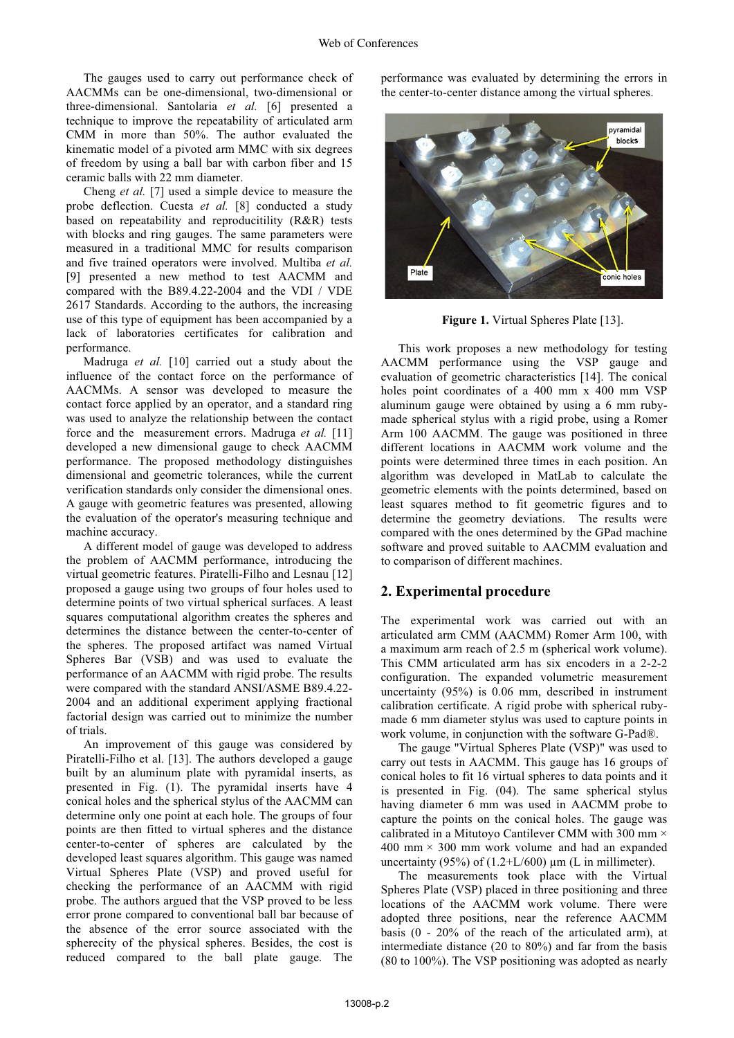The gauges used to carry out performance check of AACMMs can be one-dimensional, two-dimensional or three-dimensional. Santolaria *et al.* [6] presented a technique to improve the repeatability of articulated arm CMM in more than 50%. The author evaluated the kinematic model of a pivoted arm MMC with six degrees of freedom by using a ball bar with carbon fiber and 15 ceramic balls with 22 mm diameter.

Cheng *et al.* [7] used a simple device to measure the probe deflection. Cuesta *et al.* [8] conducted a study based on repeatability and reproducitility (R&R) tests with blocks and ring gauges. The same parameters were measured in a traditional MMC for results comparison and five trained operators were involved. Multiba *et al.* [9] presented a new method to test AACMM and compared with the B89.4.22-2004 and the VDI / VDE 2617 Standards. According to the authors, the increasing use of this type of equipment has been accompanied by a lack of laboratories certificates for calibration and performance.

Madruga *et al.* [10] carried out a study about the influence of the contact force on the performance of AACMMs. A sensor was developed to measure the contact force applied by an operator, and a standard ring was used to analyze the relationship between the contact force and the measurement errors. Madruga *et al.* [11] developed a new dimensional gauge to check AACMM performance. The proposed methodology distinguishes dimensional and geometric tolerances, while the current verification standards only consider the dimensional ones. A gauge with geometric features was presented, allowing the evaluation of the operator's measuring technique and machine accuracy.

A different model of gauge was developed to address the problem of AACMM performance, introducing the virtual geometric features. Piratelli-Filho and Lesnau [12] proposed a gauge using two groups of four holes used to determine points of two virtual spherical surfaces. A least squares computational algorithm creates the spheres and determines the distance between the center-to-center of the spheres. The proposed artifact was named Virtual Spheres Bar (VSB) and was used to evaluate the performance of an AACMM with rigid probe. The results were compared with the standard ANSI/ASME B89.4.22- 2004 and an additional experiment applying fractional factorial design was carried out to minimize the number of trials.

An improvement of this gauge was considered by Piratelli-Filho et al. [13]. The authors developed a gauge built by an aluminum plate with pyramidal inserts, as presented in Fig. (1). The pyramidal inserts have 4 conical holes and the spherical stylus of the AACMM can determine only one point at each hole. The groups of four points are then fitted to virtual spheres and the distance center-to-center of spheres are calculated by the developed least squares algorithm. This gauge was named Virtual Spheres Plate (VSP) and proved useful for checking the performance of an AACMM with rigid probe. The authors argued that the VSP proved to be less error prone compared to conventional ball bar because of the absence of the error source associated with the spherecity of the physical spheres. Besides, the cost is reduced compared to the ball plate gauge. The

performance was evaluated by determining the errors in the center-to-center distance among the virtual spheres.



**Figure 1.** Virtual Spheres Plate [13].

This work proposes a new methodology for testing AACMM performance using the VSP gauge and evaluation of geometric characteristics [14]. The conical holes point coordinates of a 400 mm x 400 mm VSP aluminum gauge were obtained by using a 6 mm rubymade spherical stylus with a rigid probe, using a Romer Arm 100 AACMM. The gauge was positioned in three different locations in AACMM work volume and the points were determined three times in each position. An algorithm was developed in MatLab to calculate the geometric elements with the points determined, based on least squares method to fit geometric figures and to determine the geometry deviations. The results were compared with the ones determined by the GPad machine software and proved suitable to AACMM evaluation and to comparison of different machines.

# **2. Experimental procedure**

The experimental work was carried out with an articulated arm CMM (AACMM) Romer Arm 100, with a maximum arm reach of 2.5 m (spherical work volume). This CMM articulated arm has six encoders in a 2-2-2 configuration. The expanded volumetric measurement uncertainty (95%) is 0.06 mm, described in instrument calibration certificate. A rigid probe with spherical rubymade 6 mm diameter stylus was used to capture points in work volume, in conjunction with the software G-Pad®.

The gauge "Virtual Spheres Plate (VSP)" was used to carry out tests in AACMM. This gauge has 16 groups of conical holes to fit 16 virtual spheres to data points and it is presented in Fig. (04). The same spherical stylus having diameter 6 mm was used in AACMM probe to capture the points on the conical holes. The gauge was calibrated in a Mitutoyo Cantilever CMM with 300 mm ×  $400 \text{ mm} \times 300 \text{ mm}$  work volume and had an expanded uncertainty (95%) of  $(1.2+L/600)$  µm (L in millimeter).

The measurements took place with the Virtual Spheres Plate (VSP) placed in three positioning and three locations of the AACMM work volume. There were adopted three positions, near the reference AACMM basis (0 - 20% of the reach of the articulated arm), at intermediate distance (20 to 80%) and far from the basis (80 to 100%). The VSP positioning was adopted as nearly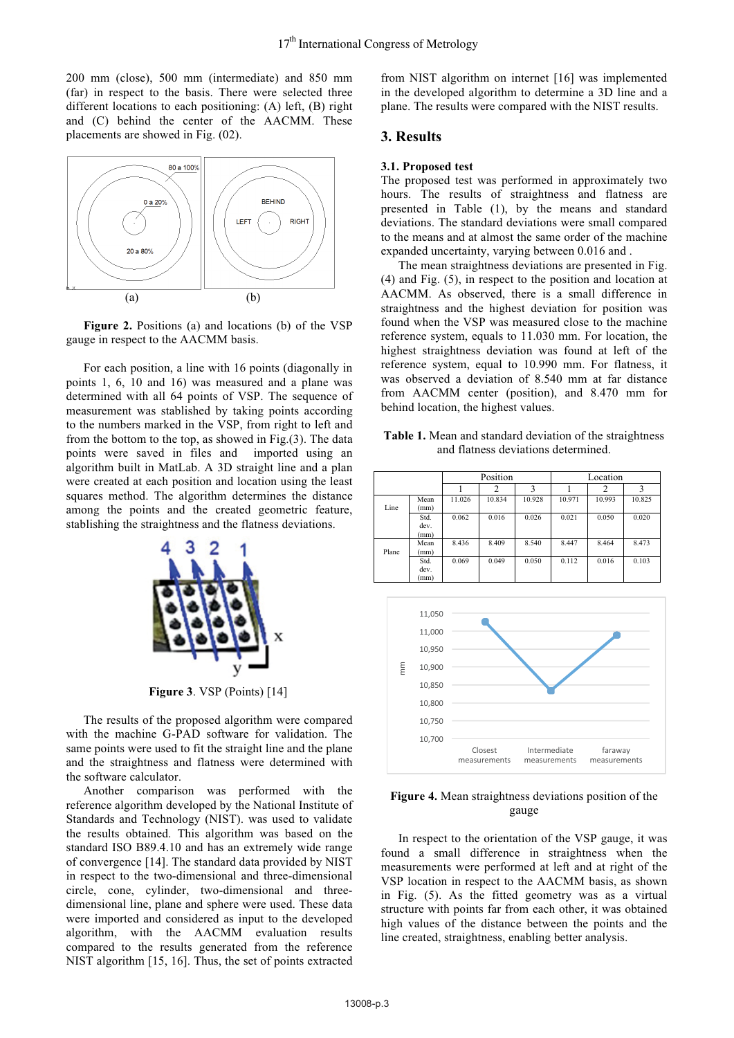200 mm (close), 500 mm (intermediate) and 850 mm (far) in respect to the basis. There were selected three different locations to each positioning: (A) left, (B) right and (C) behind the center of the AACMM. These placements are showed in Fig. (02).



**Figure 2.** Positions (a) and locations (b) of the VSP gauge in respect to the AACMM basis.

For each position, a line with 16 points (diagonally in points 1, 6, 10 and 16) was measured and a plane was determined with all 64 points of VSP. The sequence of measurement was stablished by taking points according to the numbers marked in the VSP, from right to left and from the bottom to the top, as showed in Fig.(3). The data points were saved in files and imported using an algorithm built in MatLab. A 3D straight line and a plan were created at each position and location using the least squares method. The algorithm determines the distance among the points and the created geometric feature, stablishing the straightness and the flatness deviations.



**Figure 3**. VSP (Points) [14]

The results of the proposed algorithm were compared with the machine G-PAD software for validation. The same points were used to fit the straight line and the plane and the straightness and flatness were determined with the software calculator.

Another comparison was performed with the reference algorithm developed by the National Institute of Standards and Technology (NIST). was used to validate the results obtained. This algorithm was based on the standard ISO B89.4.10 and has an extremely wide range of convergence [14]. The standard data provided by NIST in respect to the two-dimensional and three-dimensional circle, cone, cylinder, two-dimensional and threedimensional line, plane and sphere were used. These data were imported and considered as input to the developed algorithm, with the AACMM evaluation results compared to the results generated from the reference NIST algorithm [15, 16]. Thus, the set of points extracted

from NIST algorithm on internet [16] was implemented in the developed algorithm to determine a 3D line and a plane. The results were compared with the NIST results.

## **3. Results**

#### **3.1. Proposed test**

The proposed test was performed in approximately two hours. The results of straightness and flatness are presented in Table (1), by the means and standard deviations. The standard deviations were small compared to the means and at almost the same order of the machine expanded uncertainty, varying between 0.016 and .

The mean straightness deviations are presented in Fig. (4) and Fig. (5), in respect to the position and location at AACMM. As observed, there is a small difference in straightness and the highest deviation for position was found when the VSP was measured close to the machine reference system, equals to 11.030 mm. For location, the highest straightness deviation was found at left of the reference system, equal to 10.990 mm. For flatness, it was observed a deviation of 8.540 mm at far distance from AACMM center (position), and 8.470 mm for behind location, the highest values.

**Table 1.** Mean and standard deviation of the straightness and flatness deviations determined.

|       |                      | Position |        |        | Location |        |        |
|-------|----------------------|----------|--------|--------|----------|--------|--------|
|       |                      |          |        |        |          |        |        |
| Line  | Mean<br>(mm)         | 11.026   | 10.834 | 10.928 | 10.971   | 10.993 | 10.825 |
|       | Std.<br>dev.<br>(mm) | 0.062    | 0.016  | 0.026  | 0.021    | 0.050  | 0.020  |
| Plane | Mean<br>(mm)         | 8.436    | 8.409  | 8.540  | 8.447    | 8.464  | 8.473  |
|       | Std.<br>dev.<br>(mm) | 0.069    | 0.049  | 0.050  | 0.112    | 0.016  | 0.103  |



**Figure 4.** Mean straightness deviations position of the gauge

In respect to the orientation of the VSP gauge, it was found a small difference in straightness when the measurements were performed at left and at right of the VSP location in respect to the AACMM basis, as shown in Fig. (5). As the fitted geometry was as a virtual structure with points far from each other, it was obtained high values of the distance between the points and the line created, straightness, enabling better analysis.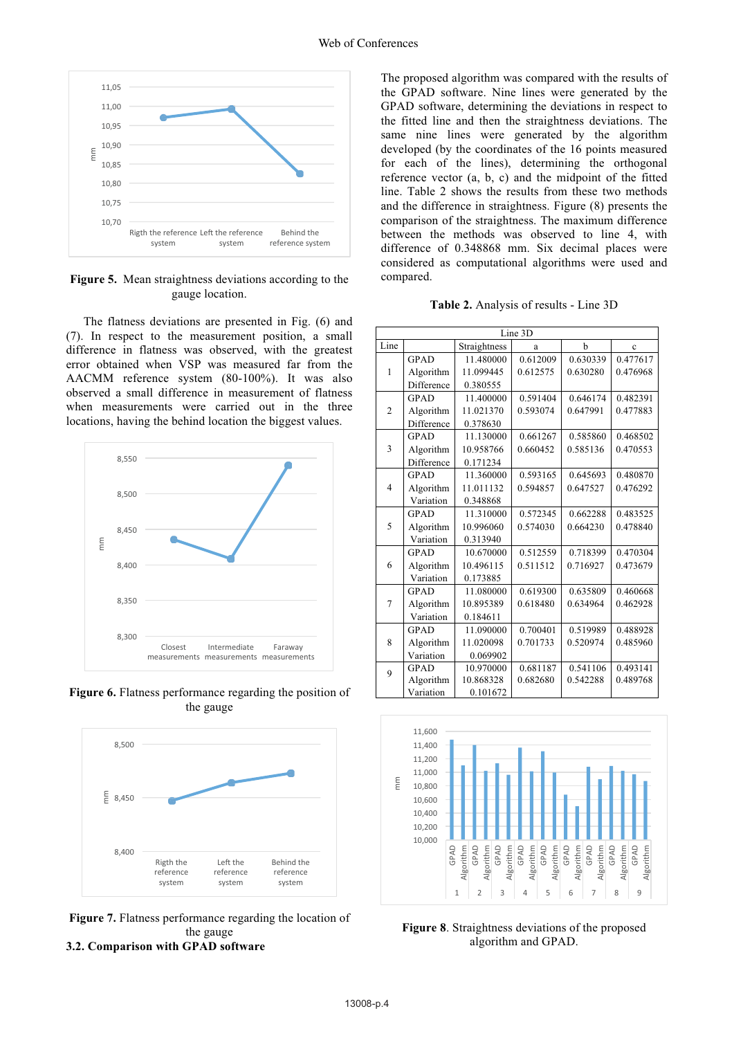

**Figure 5.** Mean straightness deviations according to the gauge location.

The flatness deviations are presented in Fig. (6) and (7). In respect to the measurement position, a small difference in flatness was observed, with the greatest error obtained when VSP was measured far from the AACMM reference system (80-100%). It was also observed a small difference in measurement of flatness when measurements were carried out in the three locations, having the behind location the biggest values.



**Figure 6.** Flatness performance regarding the position of the gauge



**Figure 7.** Flatness performance regarding the location of the gauge **3.2. Comparison with GPAD software** 

The proposed algorithm was compared with the results of the GPAD software. Nine lines were generated by the GPAD software, determining the deviations in respect to the fitted line and then the straightness deviations. The same nine lines were generated by the algorithm developed (by the coordinates of the 16 points measured for each of the lines), determining the orthogonal reference vector (a, b, c) and the midpoint of the fitted line. Table 2 shows the results from these two methods and the difference in straightness. Figure (8) presents the comparison of the straightness. The maximum difference between the methods was observed to line 4, with difference of 0.348868 mm. Six decimal places were considered as computational algorithms were used and compared.

**Table 2.** Analysis of results - Line 3D

| Line 3D        |             |              |          |          |          |  |  |
|----------------|-------------|--------------|----------|----------|----------|--|--|
| Line           |             | Straightness | a        | b        | Ċ        |  |  |
|                | <b>GPAD</b> | 11.480000    | 0.612009 | 0.630339 | 0.477617 |  |  |
| $\mathbf{1}$   | Algorithm   | 11.099445    | 0.612575 | 0.630280 | 0.476968 |  |  |
|                | Difference  | 0.380555     |          |          |          |  |  |
|                | <b>GPAD</b> | 11.400000    | 0.591404 | 0.646174 | 0.482391 |  |  |
| $\overline{2}$ | Algorithm   | 11.021370    | 0.593074 | 0.647991 | 0.477883 |  |  |
|                | Difference  | 0.378630     |          |          |          |  |  |
|                | <b>GPAD</b> | 11.130000    | 0.661267 | 0.585860 | 0.468502 |  |  |
| 3              | Algorithm   | 10.958766    | 0.660452 | 0.585136 | 0.470553 |  |  |
|                | Difference  | 0.171234     |          |          |          |  |  |
|                | <b>GPAD</b> | 11.360000    | 0.593165 | 0.645693 | 0.480870 |  |  |
| $\overline{4}$ | Algorithm   | 11.011132    | 0.594857 | 0.647527 | 0.476292 |  |  |
|                | Variation   | 0.348868     |          |          |          |  |  |
|                | <b>GPAD</b> | 11.310000    | 0.572345 | 0.662288 | 0.483525 |  |  |
| 5              | Algorithm   | 10.996060    | 0.574030 | 0.664230 | 0.478840 |  |  |
|                | Variation   | 0.313940     |          |          |          |  |  |
|                | <b>GPAD</b> | 10.670000    | 0.512559 | 0.718399 | 0.470304 |  |  |
| 6              | Algorithm   | 10.496115    | 0.511512 | 0.716927 | 0.473679 |  |  |
|                | Variation   | 0.173885     |          |          |          |  |  |
|                | <b>GPAD</b> | 11.080000    | 0.619300 | 0.635809 | 0.460668 |  |  |
| 7              | Algorithm   | 10.895389    | 0.618480 | 0.634964 | 0.462928 |  |  |
|                | Variation   | 0.184611     |          |          |          |  |  |
|                | <b>GPAD</b> | 11.090000    | 0.700401 | 0.519989 | 0.488928 |  |  |
| 8              | Algorithm   | 11.020098    | 0.701733 | 0.520974 | 0.485960 |  |  |
|                | Variation   | 0.069902     |          |          |          |  |  |
| 9              | <b>GPAD</b> | 10.970000    | 0.681187 | 0.541106 | 0.493141 |  |  |
|                | Algorithm   | 10.868328    | 0.682680 | 0.542288 | 0.489768 |  |  |
|                | Variation   | 0.101672     |          |          |          |  |  |



**Figure 8**. Straightness deviations of the proposed algorithm and GPAD.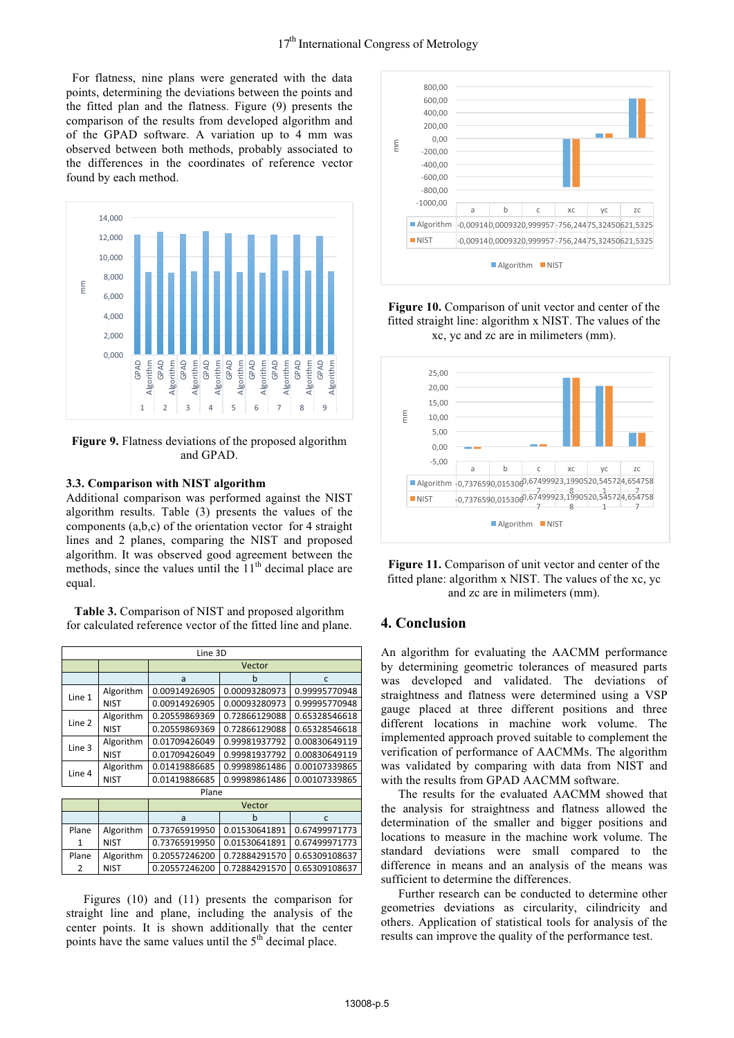For flatness, nine plans were generated with the data points, determining the deviations between the points and the fitted plan and the flatness. Figure (9) presents the comparison of the results from developed algorithm and of the GPAD software. A variation up to 4 mm was observed between both methods, probably associated to the differences in the coordinates of reference vector found by each method.



**Figure 9.** Flatness deviations of the proposed algorithm and GPAD.

### **3.3. Comparison with NIST algorithm**

Additional comparison was performed against the NIST algorithm results. Table (3) presents the values of the components (a,b,c) of the orientation vector for 4 straight lines and 2 planes, comparing the NIST and proposed algorithm. It was observed good agreement between the methods, since the values until the  $11<sup>th</sup>$  decimal place are equal.

**Table 3.** Comparison of NIST and proposed algorithm for calculated reference vector of the fitted line and plane.

| Line 3D |             |               |               |               |  |  |  |
|---------|-------------|---------------|---------------|---------------|--|--|--|
|         |             | Vector        |               |               |  |  |  |
|         |             | a             | h             | C             |  |  |  |
| Line 1  | Algorithm   | 0.00914926905 | 0.00093280973 | 0.99995770948 |  |  |  |
|         | <b>NIST</b> | 0.00914926905 | 0.00093280973 | 0.99995770948 |  |  |  |
| Line 2  | Algorithm   | 0.20559869369 | 0.72866129088 | 0.65328546618 |  |  |  |
|         | <b>NIST</b> | 0.20559869369 | 0.72866129088 | 0.65328546618 |  |  |  |
| Line 3  | Algorithm   | 0.01709426049 | 0.99981937792 | 0.00830649119 |  |  |  |
|         | <b>NIST</b> | 0.01709426049 | 0.99981937792 | 0.00830649119 |  |  |  |
|         | Algorithm   | 0.01419886685 | 0.99989861486 | 0.00107339865 |  |  |  |
| Line 4  | <b>NIST</b> | 0.01419886685 | 0.99989861486 | 0.00107339865 |  |  |  |
| Plane   |             |               |               |               |  |  |  |
|         |             | Vector        |               |               |  |  |  |
|         |             | a             | h             | C             |  |  |  |
| Plane   | Algorithm   | 0.73765919950 | 0.01530641891 | 0.67499971773 |  |  |  |
| 1       | <b>NIST</b> | 0.73765919950 | 0.01530641891 | 0.67499971773 |  |  |  |
| Plane   | Algorithm   | 0.20557246200 | 0.72884291570 | 0.65309108637 |  |  |  |
| 2       | NIST        | 0.20557246200 | 0.72884291570 | 0.65309108637 |  |  |  |

Figures (10) and (11) presents the comparison for straight line and plane, including the analysis of the center points. It is shown additionally that the center points have the same values until the  $5<sup>th</sup>$  decimal place.



**Figure 10.** Comparison of unit vector and center of the fitted straight line: algorithm x NIST. The values of the xc, yc and zc are in milimeters (mm).





## **4. Conclusion**

An algorithm for evaluating the AACMM performance by determining geometric tolerances of measured parts was developed and validated. The deviations of straightness and flatness were determined using a VSP gauge placed at three different positions and three different locations in machine work volume. The implemented approach proved suitable to complement the verification of performance of AACMMs. The algorithm was validated by comparing with data from NIST and with the results from GPAD AACMM software.

The results for the evaluated AACMM showed that the analysis for straightness and flatness allowed the determination of the smaller and bigger positions and locations to measure in the machine work volume. The standard deviations were small compared to the difference in means and an analysis of the means was sufficient to determine the differences.

Further research can be conducted to determine other geometries deviations as circularity, cilindricity and others. Application of statistical tools for analysis of the results can improve the quality of the performance test.